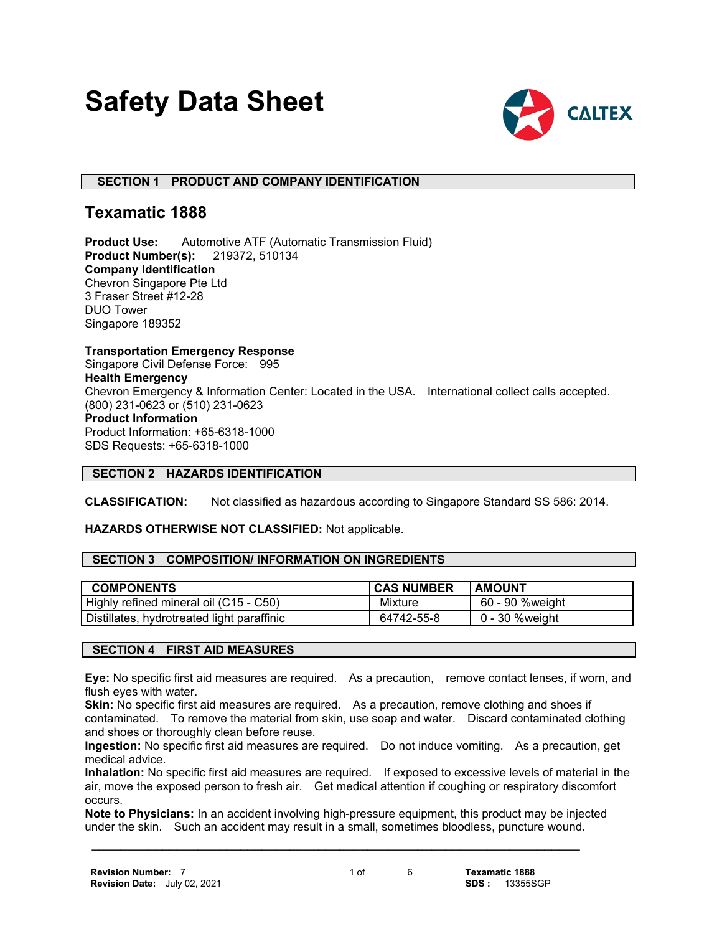# **Safety Data Sheet**



# **SECTION 1 PRODUCT AND COMPANY IDENTIFICATION**

# **Texamatic 1888**

**Product Use:** Automotive ATF (Automatic Transmission Fluid) **Product Number(s):** 219372, 510134 **Company Identification** Chevron Singapore Pte Ltd 3 Fraser Street #12-28 DUO Tower Singapore 189352

**Transportation Emergency Response** Singapore Civil Defense Force: 995 **Health Emergency** Chevron Emergency & Information Center: Located in the USA. International collect calls accepted. (800) 231-0623 or (510) 231-0623 **Product Information** Product Information: +65-6318-1000 SDS Requests: +65-6318-1000

# **SECTION 2 HAZARDS IDENTIFICATION**

**CLASSIFICATION:** Not classified as hazardous according to Singapore Standard SS 586: 2014.

**HAZARDS OTHERWISE NOT CLASSIFIED:** Not applicable.

# **SECTION 3 COMPOSITION/ INFORMATION ON INGREDIENTS**

| <b>COMPONENTS</b>                          | <b>CAS NUMBER</b> | <b>AMOUNT</b>   |
|--------------------------------------------|-------------------|-----------------|
| Highly refined mineral oil (C15 - C50)     | Mixture           | 60 - 90 %weight |
| Distillates, hydrotreated light paraffinic | 64742-55-8        | 0 - 30 % weight |

# **SECTION 4 FIRST AID MEASURES**

**Eye:** No specific first aid measures are required. As a precaution, remove contact lenses, if worn, and flush eyes with water.

**Skin:** No specific first aid measures are required. As a precaution, remove clothing and shoes if contaminated. To remove the material from skin, use soap and water. Discard contaminated clothing and shoes or thoroughly clean before reuse.

**Ingestion:** No specific first aid measures are required. Do not induce vomiting. As a precaution, get medical advice.

**Inhalation:** No specific first aid measures are required. If exposed to excessive levels of material in the air, move the exposed person to fresh air. Get medical attention if coughing or respiratory discomfort occurs.

**Note to Physicians:** In an accident involving high-pressure equipment, this product may be injected under the skin. Such an accident may result in a small, sometimes bloodless, puncture wound.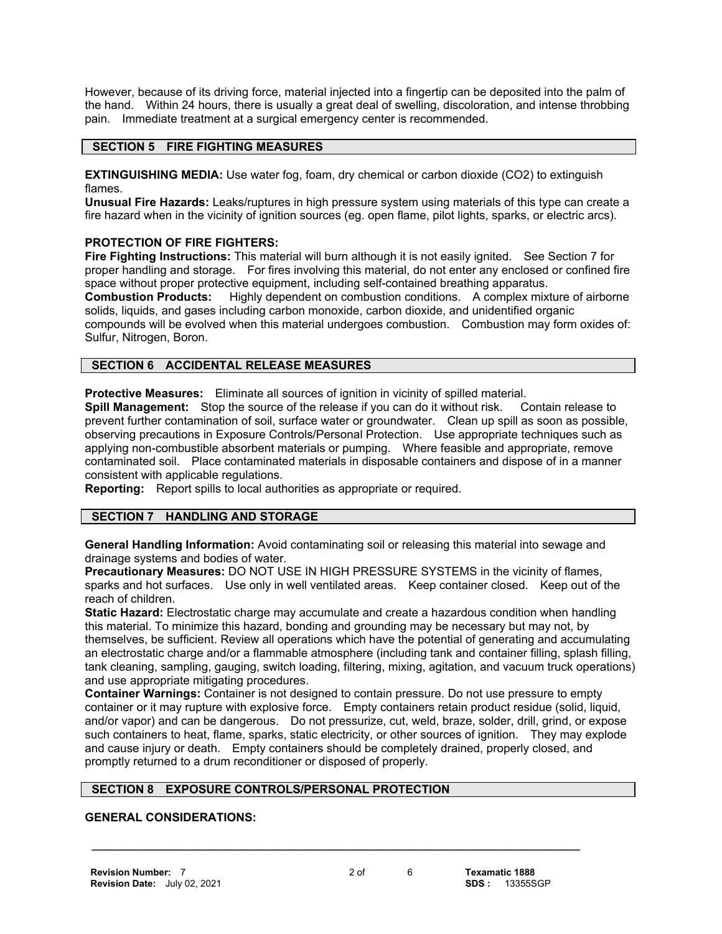However, because of its driving force, material injected into a fingertip can be deposited into the palm of the hand. Within 24 hours, there is usually a great deal of swelling, discoloration, and intense throbbing pain. Immediate treatment at a surgical emergency center is recommended.

# **SECTION 5 FIRE FIGHTING MEASURES**

**EXTINGUISHING MEDIA:** Use water fog, foam, dry chemical or carbon dioxide (CO2) to extinguish flames.

**Unusual Fire Hazards:** Leaks/ruptures in high pressure system using materials of this type can create a fire hazard when in the vicinity of ignition sources (eg. open flame, pilot lights, sparks, or electric arcs).

# **PROTECTION OF FIRE FIGHTERS:**

**Fire Fighting Instructions:** This material will burn although it is not easily ignited. See Section 7 for proper handling and storage. For fires involving this material, do not enter any enclosed or confined fire space without proper protective equipment, including self-contained breathing apparatus.

**Combustion Products:** Highly dependent on combustion conditions. A complex mixture of airborne solids, liquids, and gases including carbon monoxide, carbon dioxide, and unidentified organic compounds will be evolved when this material undergoes combustion. Combustion may form oxides of: Sulfur, Nitrogen, Boron.

# **SECTION 6 ACCIDENTAL RELEASE MEASURES**

**Protective Measures:** Eliminate all sources of ignition in vicinity of spilled material.

**Spill Management:** Stop the source of the release if you can do it without risk. Contain release to prevent further contamination of soil, surface water or groundwater. Clean up spill as soon as possible, observing precautions in Exposure Controls/Personal Protection. Use appropriate techniques such as applying non-combustible absorbent materials or pumping. Where feasible and appropriate, remove contaminated soil. Place contaminated materials in disposable containers and dispose of in a manner consistent with applicable regulations.

**Reporting:** Report spills to local authorities as appropriate or required.

# **SECTION 7 HANDLING AND STORAGE**

**General Handling Information:** Avoid contaminating soil or releasing this material into sewage and drainage systems and bodies of water.

**Precautionary Measures:** DO NOT USE IN HIGH PRESSURE SYSTEMS in the vicinity of flames, sparks and hot surfaces. Use only in well ventilated areas. Keep container closed. Keep out of the reach of children.

**Static Hazard:** Electrostatic charge may accumulate and create a hazardous condition when handling this material. To minimize this hazard, bonding and grounding may be necessary but may not, by themselves, be sufficient. Review all operations which have the potential of generating and accumulating an electrostatic charge and/or a flammable atmosphere (including tank and container filling, splash filling, tank cleaning, sampling, gauging, switch loading, filtering, mixing, agitation, and vacuum truck operations) and use appropriate mitigating procedures.

**Container Warnings:** Container is not designed to contain pressure. Do not use pressure to empty container or it may rupture with explosive force. Empty containers retain product residue (solid, liquid, and/or vapor) and can be dangerous. Do not pressurize, cut, weld, braze, solder, drill, grind, or expose such containers to heat, flame, sparks, static electricity, or other sources of ignition. They may explode and cause injury or death. Empty containers should be completely drained, properly closed, and promptly returned to a drum reconditioner or disposed of properly.

#### **SECTION 8 EXPOSURE CONTROLS/PERSONAL PROTECTION**

# **GENERAL CONSIDERATIONS:**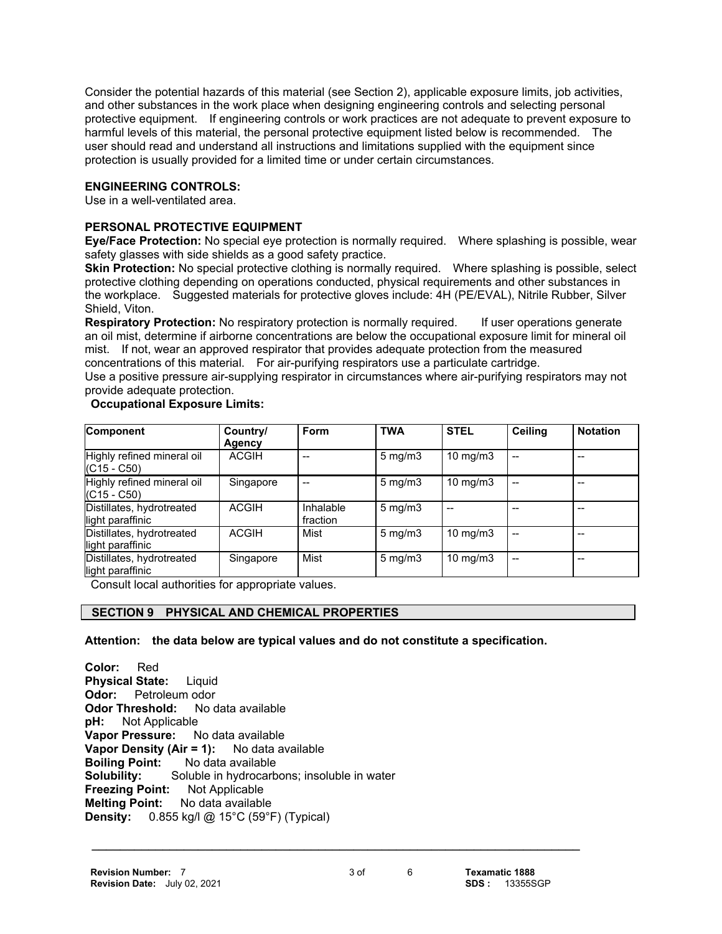Consider the potential hazards of this material (see Section 2), applicable exposure limits, job activities, and other substances in the work place when designing engineering controls and selecting personal protective equipment. If engineering controls or work practices are not adequate to prevent exposure to harmful levels of this material, the personal protective equipment listed below is recommended. The user should read and understand all instructions and limitations supplied with the equipment since protection is usually provided for a limited time or under certain circumstances.

# **ENGINEERING CONTROLS:**

Use in a well-ventilated area.

#### **PERSONAL PROTECTIVE EQUIPMENT**

**Eye/Face Protection:** No special eye protection is normally required. Where splashing is possible, wear safety glasses with side shields as a good safety practice.

**Skin Protection:** No special protective clothing is normally required. Where splashing is possible, select protective clothing depending on operations conducted, physical requirements and other substances in the workplace. Suggested materials for protective gloves include: 4H (PE/EVAL), Nitrile Rubber, Silver Shield, Viton.

**Respiratory Protection:** No respiratory protection is normally required. If user operations generate an oil mist, determine if airborne concentrations are below the occupational exposure limit for mineral oil mist. If not, wear an approved respirator that provides adequate protection from the measured concentrations of this material. For air-purifying respirators use a particulate cartridge.

Use a positive pressure air-supplying respirator in circumstances where air-purifying respirators may not provide adequate protection.

#### **Occupational Exposure Limits:**

| Component                                     | Country/<br>Agency | Form                  | <b>TWA</b>       | <b>STEL</b>   | Ceiling | <b>Notation</b> |
|-----------------------------------------------|--------------------|-----------------------|------------------|---------------|---------|-----------------|
| Highly refined mineral oil<br>$(C15 - C50)$   | <b>ACGIH</b>       |                       | $5 \text{ mg/m}$ | 10 mg/m $3$   | --      |                 |
| Highly refined mineral oil<br>$(C15 - C50)$   | Singapore          |                       | $5 \text{ mg/m}$ | 10 mg/m $3$   | --      |                 |
| Distillates, hydrotreated<br>light paraffinic | <b>ACGIH</b>       | Inhalable<br>fraction | $5 \text{ mg/m}$ |               |         |                 |
| Distillates, hydrotreated<br>light paraffinic | <b>ACGIH</b>       | Mist                  | $5 \text{ mg/m}$ | 10 mg/m $3$   | --      |                 |
| Distillates, hydrotreated<br>light paraffinic | Singapore          | Mist                  | $5 \text{ mg/m}$ | $10$ mg/m $3$ | $-$     |                 |

Consult local authorities for appropriate values.

# **SECTION 9 PHYSICAL AND CHEMICAL PROPERTIES**

**Attention: the data below are typical values and do not constitute a specification.**

**Color:** Red **Physical State:** Liquid **Odor:** Petroleum odor **Odor Threshold:** No data available **pH:** Not Applicable **Vapor Pressure:** No data available **Vapor Density (Air = 1):** No data available **Boiling Point:** No data available **Solubility:** Soluble in hydrocarbons; insoluble in water **Freezing Point:** Not Applicable **Melting Point:** No data available **Density:** 0.855 kg/l @ 15°C (59°F) (Typical)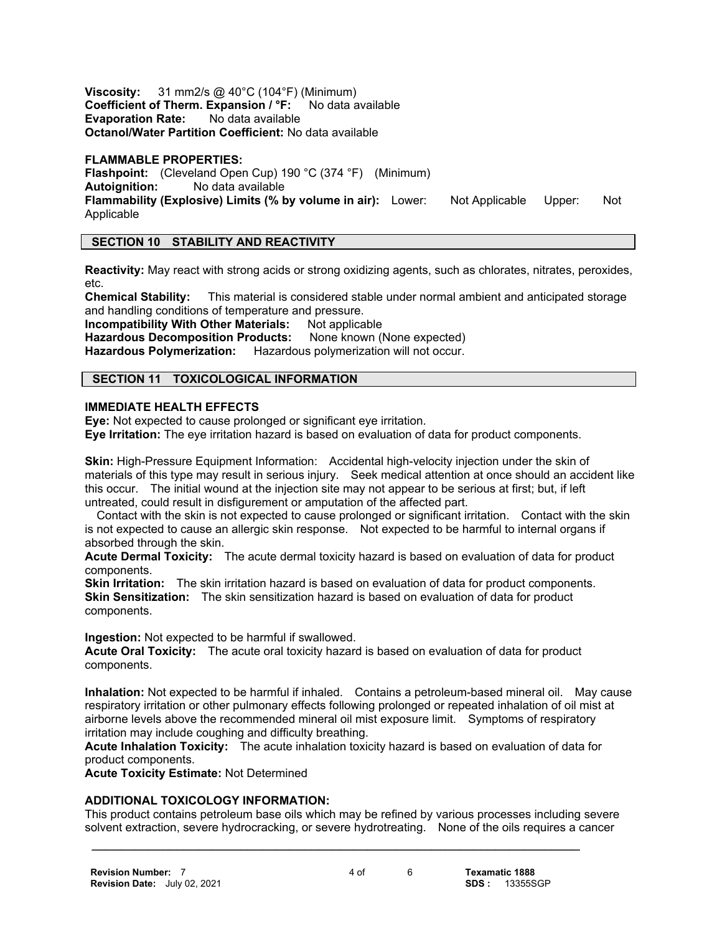**Viscosity:** 31 mm2/s @ 40°C (104°F) (Minimum) **Coefficient of Therm. Expansion / °F:** No data available **Evaporation Rate:** No data available **Octanol/Water Partition Coefficient:** No data available

#### **FLAMMABLE PROPERTIES:**

**Flashpoint:** (Cleveland Open Cup) 190 °C (374 °F) (Minimum) **Autoignition:** No data available **Flammability (Explosive) Limits (% by volume in air):** Lower: Not Applicable Upper: Not Applicable

# **SECTION 10 STABILITY AND REACTIVITY**

**Reactivity:** May react with strong acids or strong oxidizing agents, such as chlorates, nitrates, peroxides, etc.

**Chemical Stability:** This material is considered stable under normal ambient and anticipated storage and handling conditions of temperature and pressure.

**Incompatibility With Other Materials:** Not applicable<br>**Hazardous Decomposition Products:** None known (None expected) **Hazardous Decomposition Products:** 

**Hazardous Polymerization:** Hazardous polymerization will not occur.

# **SECTION 11 TOXICOLOGICAL INFORMATION**

#### **IMMEDIATE HEALTH EFFECTS**

**Eye:** Not expected to cause prolonged or significant eye irritation.

**Eye Irritation:** The eye irritation hazard is based on evaluation of data for product components.

**Skin:** High-Pressure Equipment Information: Accidental high-velocity injection under the skin of materials of this type may result in serious injury. Seek medical attention at once should an accident like this occur. The initial wound at the injection site may not appear to be serious at first; but, if left untreated, could result in disfigurement or amputation of the affected part.

 Contact with the skin is not expected to cause prolonged or significant irritation. Contact with the skin is not expected to cause an allergic skin response. Not expected to be harmful to internal organs if absorbed through the skin.

**Acute Dermal Toxicity:** The acute dermal toxicity hazard is based on evaluation of data for product components.

**Skin Irritation:** The skin irritation hazard is based on evaluation of data for product components. **Skin Sensitization:** The skin sensitization hazard is based on evaluation of data for product components.

**Ingestion:** Not expected to be harmful if swallowed.

**Acute Oral Toxicity:** The acute oral toxicity hazard is based on evaluation of data for product components.

**Inhalation:** Not expected to be harmful if inhaled. Contains a petroleum-based mineral oil. May cause respiratory irritation or other pulmonary effects following prolonged or repeated inhalation of oil mist at airborne levels above the recommended mineral oil mist exposure limit. Symptoms of respiratory irritation may include coughing and difficulty breathing.

**Acute Inhalation Toxicity:** The acute inhalation toxicity hazard is based on evaluation of data for product components.

**Acute Toxicity Estimate:** Not Determined

#### **ADDITIONAL TOXICOLOGY INFORMATION:**

This product contains petroleum base oils which may be refined by various processes including severe solvent extraction, severe hydrocracking, or severe hydrotreating. None of the oils requires a cancer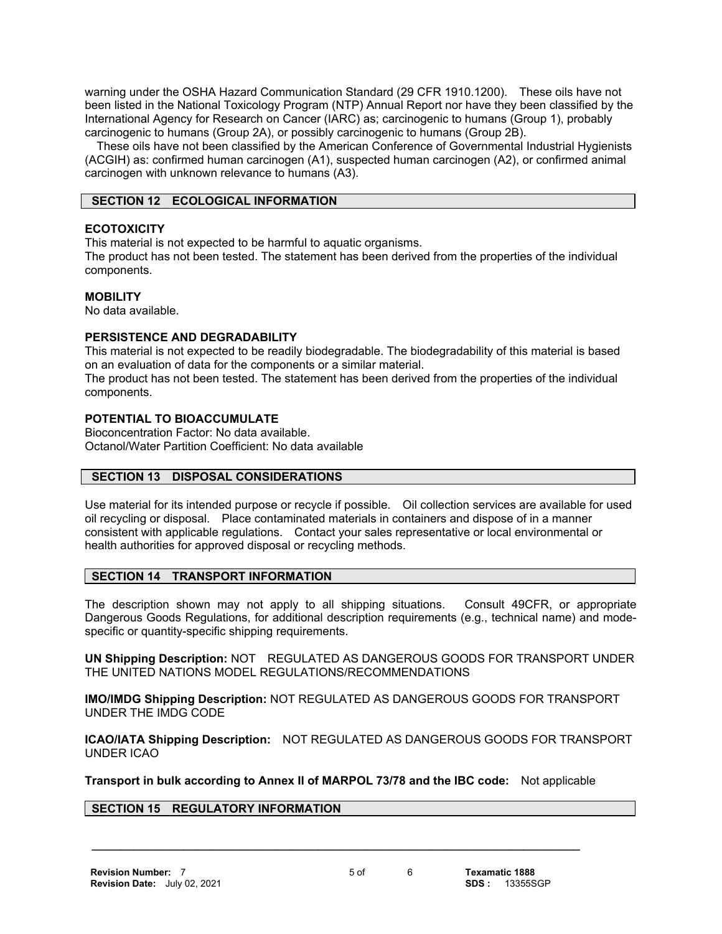warning under the OSHA Hazard Communication Standard (29 CFR 1910.1200). These oils have not been listed in the National Toxicology Program (NTP) Annual Report nor have they been classified by the International Agency for Research on Cancer (IARC) as; carcinogenic to humans (Group 1), probably carcinogenic to humans (Group 2A), or possibly carcinogenic to humans (Group 2B).

 These oils have not been classified by the American Conference of Governmental Industrial Hygienists (ACGIH) as: confirmed human carcinogen (A1), suspected human carcinogen (A2), or confirmed animal carcinogen with unknown relevance to humans (A3).

# **SECTION 12 ECOLOGICAL INFORMATION**

# **ECOTOXICITY**

This material is not expected to be harmful to aquatic organisms.

The product has not been tested. The statement has been derived from the properties of the individual components.

#### **MOBILITY**

No data available.

# **PERSISTENCE AND DEGRADABILITY**

This material is not expected to be readily biodegradable. The biodegradability of this material is based on an evaluation of data for the components or a similar material.

The product has not been tested. The statement has been derived from the properties of the individual components.

#### **POTENTIAL TO BIOACCUMULATE**

Bioconcentration Factor: No data available. Octanol/Water Partition Coefficient: No data available

# **SECTION 13 DISPOSAL CONSIDERATIONS**

Use material for its intended purpose or recycle if possible. Oil collection services are available for used oil recycling or disposal. Place contaminated materials in containers and dispose of in a manner consistent with applicable regulations. Contact your sales representative or local environmental or health authorities for approved disposal or recycling methods.

#### **SECTION 14 TRANSPORT INFORMATION**

The description shown may not apply to all shipping situations. Consult 49CFR, or appropriate Dangerous Goods Regulations, for additional description requirements (e.g., technical name) and modespecific or quantity-specific shipping requirements.

**UN Shipping Description:** NOT REGULATED AS DANGEROUS GOODS FOR TRANSPORT UNDER THE UNITED NATIONS MODEL REGULATIONS/RECOMMENDATIONS

**IMO/IMDG Shipping Description:** NOT REGULATED AS DANGEROUS GOODS FOR TRANSPORT UNDER THE IMDG CODE

**ICAO/IATA Shipping Description:** NOT REGULATED AS DANGEROUS GOODS FOR TRANSPORT UNDER ICAO

**Transport in bulk according to Annex II of MARPOL 73/78 and the IBC code:** Not applicable

 **\_\_\_\_\_\_\_\_\_\_\_\_\_\_\_\_\_\_\_\_\_\_\_\_\_\_\_\_\_\_\_\_\_\_\_\_\_\_\_\_\_\_\_\_\_\_\_\_\_\_\_\_\_\_\_\_\_\_\_\_\_\_\_\_\_\_\_\_\_**

# **SECTION 15 REGULATORY INFORMATION**